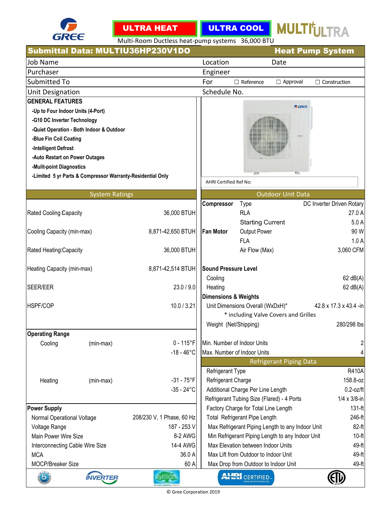



ULTRA COOL | MULTI<sup>†</sup>ULTRA

Multi-Room Ductless heat-pump systems 36,000 BTU

|                                   |                                                            | Submittal Data: MULTIU36HP230V1DO |                                                                          |                                            | <b>Heat Pump System</b>                          |                           |
|-----------------------------------|------------------------------------------------------------|-----------------------------------|--------------------------------------------------------------------------|--------------------------------------------|--------------------------------------------------|---------------------------|
| Job Name                          |                                                            |                                   | Location                                                                 |                                            | Date                                             |                           |
| Purchaser                         |                                                            |                                   | Engineer                                                                 |                                            |                                                  |                           |
| Submitted To                      |                                                            |                                   | For                                                                      | $\Box$ Reference                           | $\Box$ Approval                                  | $\Box$ Construction       |
| <b>Unit Designation</b>           |                                                            |                                   | Schedule No.                                                             |                                            |                                                  |                           |
| <b>GENERAL FEATURES</b>           |                                                            |                                   |                                                                          |                                            |                                                  |                           |
| -Up to Four Indoor Units (4-Port) |                                                            |                                   |                                                                          |                                            | GREE                                             |                           |
| -G10 DC Inverter Technology       |                                                            |                                   |                                                                          |                                            |                                                  |                           |
|                                   | -Quiet Operation - Both Indoor & Outdoor                   |                                   |                                                                          |                                            |                                                  |                           |
| -Blue Fin Coil Coating            |                                                            |                                   |                                                                          |                                            |                                                  |                           |
| -Intelligent Defrost              |                                                            |                                   |                                                                          |                                            |                                                  |                           |
| -Auto Restart on Power Outages    |                                                            |                                   |                                                                          |                                            |                                                  |                           |
| -Mulit-point Diagnostics          |                                                            |                                   |                                                                          |                                            |                                                  |                           |
|                                   | -Limited 5 yr Parts & Compressor Warranty-Residential Only |                                   |                                                                          |                                            |                                                  |                           |
|                                   |                                                            |                                   | AHRI Certified Ref No:                                                   |                                            |                                                  |                           |
|                                   | <b>System Ratings</b>                                      |                                   |                                                                          |                                            | <b>Outdoor Unit Data</b>                         |                           |
|                                   |                                                            |                                   | Compressor                                                               | <b>Type</b>                                |                                                  | DC Inverter Driven Rotary |
| Rated Cooling Capacity            |                                                            | 36,000 BTUH                       |                                                                          | <b>RLA</b>                                 |                                                  | 27.0 A                    |
|                                   |                                                            |                                   |                                                                          | <b>Starting Current</b>                    |                                                  | 5.0A                      |
| Cooling Capacity (min-max)        |                                                            | 8,871-42,650 BTUH                 | <b>Fan Motor</b>                                                         | <b>Output Power</b>                        |                                                  | 90 W                      |
|                                   |                                                            |                                   |                                                                          | <b>FLA</b>                                 |                                                  | 1.0A                      |
| Rated Heating Capacity            |                                                            | 36,000 BTUH                       |                                                                          | Air Flow (Max)                             |                                                  | 3,060 CFM                 |
|                                   |                                                            |                                   |                                                                          |                                            |                                                  |                           |
| Heating Capacity (min-max)        |                                                            | 8,871-42,514 BTUH                 | <b>Sound Pressure Level</b>                                              |                                            |                                                  |                           |
|                                   |                                                            |                                   | Cooling                                                                  |                                            |                                                  | $62$ dB(A)                |
| SEER/EER                          |                                                            | 23.0/9.0                          | Heating                                                                  |                                            |                                                  | $62$ dB(A)                |
| <b>HSPF/COP</b>                   |                                                            | 10.0 / 3.21                       | <b>Dimensions &amp; Weights</b>                                          |                                            |                                                  | 42.8 x 17.3 x 43.4 -in    |
|                                   |                                                            |                                   | Unit Dimensions Overall (WxDxH)*<br>* including Valve Covers and Grilles |                                            |                                                  |                           |
|                                   |                                                            |                                   | Weight (Net/Shipping)                                                    |                                            |                                                  | 280/298 lbs               |
| <b>Operating Range</b>            |                                                            |                                   |                                                                          |                                            |                                                  |                           |
| Cooling                           | (min-max)                                                  | $0 - 115$ °F                      |                                                                          | Min. Number of Indoor Units                |                                                  | 2                         |
|                                   |                                                            | $-18 - 46^{\circ}$ C              |                                                                          | Max. Number of Indoor Units                |                                                  | 4                         |
|                                   |                                                            |                                   |                                                                          |                                            |                                                  |                           |
|                                   |                                                            |                                   | Refrigerant Type                                                         |                                            | <b>Refrigerant Piping Data</b>                   | <b>R410A</b>              |
| Heating                           | (min-max)                                                  | $-31 - 75$ °F                     | Refrigerant Charge                                                       |                                            |                                                  | 158.8-oz                  |
|                                   |                                                            | $-35 - 24$ °C                     |                                                                          | Additional Charge Per Line Length          |                                                  | $0.2$ -oz/ft              |
|                                   |                                                            |                                   |                                                                          | Refrigerant Tubing Size (Flared) - 4 Ports |                                                  | $1/4 \times 3/8$ -in      |
| <b>Power Supply</b>               |                                                            |                                   |                                                                          | Factory Charge for Total Line Length       |                                                  | 131-ft                    |
| Normal Operational Voltage        |                                                            | 208/230 V, 1 Phase, 60 Hz         |                                                                          | <b>Total Refrigerant Pipe Length</b>       |                                                  | 246-ft                    |
| Voltage Range                     |                                                            | 187 - 253 V                       |                                                                          |                                            | Max Refrigerant Piping Length to any Indoor Unit | $82-ft$                   |
| Main Power Wire Size              |                                                            | 8-2 AWG                           |                                                                          |                                            | Min Refrigerant Piping Length to any Indoor Unit | $10-ft$                   |
| Interconnecting Cable Wire Size   |                                                            | 14-4 AWG                          |                                                                          | Max Elevation between Indoor Units         |                                                  | 49-ft                     |
| <b>MCA</b>                        |                                                            | 36.0 A                            |                                                                          | Max Lift from Outdoor to Indoor Unit       |                                                  | 49-ft                     |
| MOCP/Breaker Size                 |                                                            | 60 A                              |                                                                          | Max Drop from Outdoor to Indoor Unit       |                                                  | 49-ft                     |
|                                   | <b>INVERTER</b>                                            | R4110/2                           |                                                                          | <b>AHRI</b> CERTIFIED                      |                                                  |                           |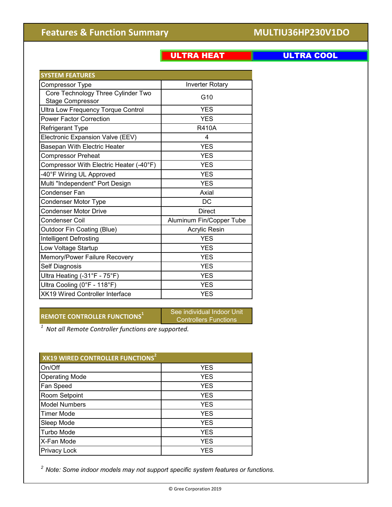### © Gree Corporation 2019

# **Features & Function Summary <b>MULTIU36HP230V1DO**

| u<br>,我们就会在这里,我们就会在这里,我们就会在这里,我们就会在这里,我们就会在这里,我们就会在这里,我们就会在这里,我们就会在这里,我们就会不会不会。""我们,我 | ı. |
|---------------------------------------------------------------------------------------|----|
|---------------------------------------------------------------------------------------|----|

# ULTRA COOL

| <b>SYSTEM FEATURES</b>                                        |                          |
|---------------------------------------------------------------|--------------------------|
| Compressor Type                                               | <b>Inverter Rotary</b>   |
| Core Technology Three Cylinder Two<br><b>Stage Compressor</b> | G10                      |
| <b>Ultra Low Frequency Torque Control</b>                     | <b>YES</b>               |
| <b>Power Factor Correction</b>                                | <b>YES</b>               |
| Refrigerant Type                                              | <b>R410A</b>             |
| Electronic Expansion Valve (EEV)                              | 4                        |
| Basepan With Electric Heater                                  | <b>YES</b>               |
| <b>Compressor Preheat</b>                                     | <b>YES</b>               |
| Compressor With Electric Heater (-40°F)                       | <b>YES</b>               |
| -40°F Wiring UL Approved                                      | <b>YES</b>               |
| Multi "Independent" Port Design                               | <b>YES</b>               |
| Condenser Fan                                                 | Axial                    |
| Condenser Motor Type                                          | DC                       |
| <b>Condenser Motor Drive</b>                                  | <b>Direct</b>            |
| Condenser Coil                                                | Aluminum Fin/Copper Tube |
| Outdoor Fin Coating (Blue)                                    | Acrylic Resin            |
| Intelligent Defrosting                                        | <b>YES</b>               |
| Low Voltage Startup                                           | <b>YES</b>               |
| Memory/Power Failure Recovery                                 | <b>YES</b>               |
| Self Diagnosis                                                | <b>YES</b>               |
| Ultra Heating (-31°F - 75°F)                                  | <b>YES</b>               |
| Ultra Cooling (0°F - 118°F)                                   | <b>YES</b>               |
| <b>XK19 Wired Controller Interface</b>                        | <b>YES</b>               |

**REMOTE CONTROLLER FUNCTIONS<sup>1</sup>** See individual Indoor Unit

Controllers Functions

*1 Not all Remote Controller functions are supported.* 

| XK19 WIRED CONTROLLER FUNCTIONS <sup>2</sup> |            |  |  |  |  |
|----------------------------------------------|------------|--|--|--|--|
| On/Off                                       | <b>YES</b> |  |  |  |  |
| <b>Operating Mode</b>                        | <b>YES</b> |  |  |  |  |
| <b>Fan Speed</b>                             | <b>YES</b> |  |  |  |  |
| Room Setpoint                                | <b>YES</b> |  |  |  |  |
| <b>Model Numbers</b>                         | <b>YES</b> |  |  |  |  |
| <b>Timer Mode</b>                            | <b>YES</b> |  |  |  |  |
| Sleep Mode                                   | <b>YES</b> |  |  |  |  |
| <b>Turbo Mode</b>                            | <b>YES</b> |  |  |  |  |
| X-Fan Mode                                   | <b>YES</b> |  |  |  |  |
| <b>Privacy Lock</b>                          | YES        |  |  |  |  |

*2 Note: Some indoor models may not support specific system features or functions.*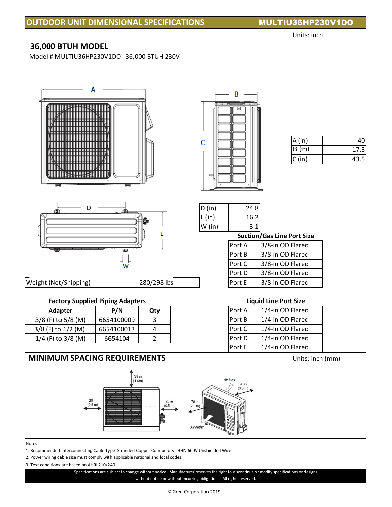# **OUTDOOR UNIT DIMENSIONAL SPECIFICATIONS MULTIU36HP230V1DO**

### Units: inch

## **36,000 BTUH MODEL**

Model # MULTIU36HP230V1DO 36,000 BTUH 230V



### **Factory Supplied Piping Adapters**

| P/N        | Qty |
|------------|-----|
| 6654100009 |     |
| 6654100013 |     |
| 6654104    |     |
|            |     |

# **MINIMUM SPACING REQUIREMENTS** Units: inch (mm)



| . .<br>. .<br>۰.<br>×<br>v |  |
|----------------------------|--|

1. Recommended Interconnecting Cable Type Stranded Copper Conductors THHN 600V Unshielded Wire

2. Power wiring cable size must comply with applicable national and local codes.

3. Test conditions are based on AHRI 210/240.

without notice or without incurring obligations. All rights reserved. Specifications are subject to change without notice. Manufacturer reserves the right to discontinue or modify specifications or designs



| A (in) |       |
|--------|-------|
| B (in) | 17.3I |
| C (in) | 43.5I |

| ID (in)             | 24.8 |
|---------------------|------|
| $\overline{L}$ (in) | 16.2 |
| $N$ (in)            |      |

### **Suction/Gas Line Port Size**

| Port A | 3/8-in OD Flared |
|--------|------------------|
| Port B | 3/8-in OD Flared |
| Port C | 3/8-in OD Flared |
| Port D | 3/8-in OD Flared |
| Port E | 3/8-in OD Flared |

### **Liquid Line Port Size**

| Port A | 1/4-in OD Flared |
|--------|------------------|
| Port B | 1/4-in OD Flared |
| Port C | 1/4-in OD Flared |
| Port D | 1/4-in OD Flared |
| Port E | 1/4-in OD Flared |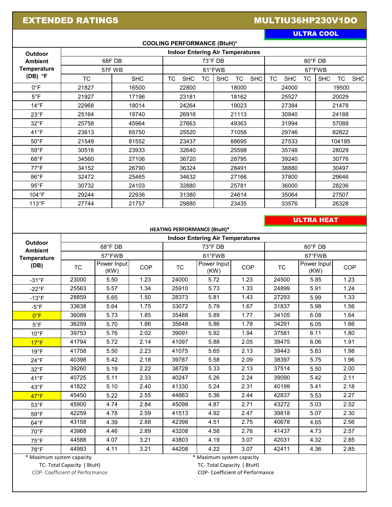# EXTENDED RATINGS **EXTENDED RATINGS MULTIU36HP230V1DO**

ULTRA COOL

| <b>COOLING PERFORMANCE (BtuH)*</b>                |                                         |            |                                      |                                       |                                      |                                       |  |  |  |  |
|---------------------------------------------------|-----------------------------------------|------------|--------------------------------------|---------------------------------------|--------------------------------------|---------------------------------------|--|--|--|--|
| Outdoor                                           | <b>Indoor Entering Air Temperatures</b> |            |                                      |                                       |                                      |                                       |  |  |  |  |
| <b>Ambient</b><br><b>Temperature</b><br>$(DB)$ °F | 68F DB                                  |            |                                      | $73^{\circ}$ FDB                      | 80°F DB                              |                                       |  |  |  |  |
|                                                   | 57FWB                                   |            |                                      | 61°FWB                                | 67°FWB                               |                                       |  |  |  |  |
|                                                   | <b>TC</b>                               | <b>SHC</b> | <b>TC</b><br><b>TC</b><br><b>SHC</b> | <b>SHC</b><br><b>SHC</b><br><b>TC</b> | <b>SHC</b><br><b>TC</b><br><b>TC</b> | <b>SHC</b><br><b>SHC</b><br><b>TC</b> |  |  |  |  |
| $0^{\circ}$ F                                     | 21827                                   | 16500      | 22800                                | 18000                                 | 24000                                | 19500                                 |  |  |  |  |
| $5^{\circ}$ F                                     | 21927                                   | 17196      | 23181                                | 18162                                 | 25527                                | 20029                                 |  |  |  |  |
| $14^{\circ}F$                                     | 22968                                   | 18014      | 24264                                | 19023                                 | 27384                                | 21478                                 |  |  |  |  |
| $23^{\circ}F$                                     | 25164                                   | 19740      | 26916                                | 21113                                 | 30840                                | 24188                                 |  |  |  |  |
| $32^{\circ}F$                                     | 25758                                   | 45964      | 27663                                | 49363                                 | 31994                                | 57088                                 |  |  |  |  |
| $41^{\circ}F$                                     | 23613                                   | 65750      | 25520                                | 71058                                 | 29746                                | 82822                                 |  |  |  |  |
| $50^{\circ}$ F                                    | 21549                                   | 81552      | 23437                                | 88695                                 | 27533                                | 104195                                |  |  |  |  |
| $59^{\circ}$ F                                    | 30516                                   | 23933      | 32640                                | 25598                                 | 35748                                | 28029                                 |  |  |  |  |
| $68^{\circ}$ F                                    | 34560                                   | 27106      | 36720                                | 28795                                 | 39240                                | 30776                                 |  |  |  |  |
| $77^{\circ}F$                                     | 34152                                   | 26790      | 36324                                | 28491                                 | 38880                                | 30497                                 |  |  |  |  |
| $86^{\circ}$ F                                    | 32472                                   | 25465      | 34632                                | 27166                                 | 37800                                | 29646                                 |  |  |  |  |
| $95^{\circ}$ F                                    | 30732                                   | 24103      | 32880                                | 25781                                 | 36000                                | 28236                                 |  |  |  |  |
| 104°F                                             | 29244                                   | 22936      | 31380                                | 24614                                 | 35064                                | 27507                                 |  |  |  |  |
| $113^{\circ}F$                                    | 27744                                   | 21757      | 29880                                | 23435                                 | 33576                                | 26328                                 |  |  |  |  |
|                                                   |                                         |            |                                      |                                       |                                      |                                       |  |  |  |  |
| <b>ULTRA HEAT</b>                                 |                                         |            |                                      |                                       |                                      |                                       |  |  |  |  |
|                                                   | <b>HEATING PERFORMANCE (BtuH)*</b>      |            |                                      |                                       |                                      |                                       |  |  |  |  |
| <b>Indoor Entering Air Temperatures</b><br>- - -  |                                         |            |                                      |                                       |                                      |                                       |  |  |  |  |

| <b>Outdoor</b><br><b>Ambient</b><br><b>Temperature</b> | 68°F DB<br>57°FWB |      |      | $73^{\circ}$ FDB<br>61°FWB |      |      | $80^\circ$ FDB<br>67°FWB |      |      |  |      |
|--------------------------------------------------------|-------------------|------|------|----------------------------|------|------|--------------------------|------|------|--|------|
|                                                        |                   |      |      |                            |      |      |                          |      |      |  | (DB) |
| $-31^{\circ}F$                                         | 23000             | 5.50 | 1.23 | 24000                      | 5.72 | 1.23 | 24500                    | 5.85 | 1.23 |  |      |
| $-22^{\circ}F$                                         | 25563             | 5.57 | 1.34 | 25910                      | 5.73 | 1.33 | 24899                    | 5.91 | 1.24 |  |      |
| $-13^{\circ}F$                                         | 28859             | 5.65 | 1.50 | 28373                      | 5.81 | 1.43 | 27293                    | 5.99 | 1.33 |  |      |
| $-5^{\circ}$ F                                         | 33638             | 5.64 | 1.75 | 33072                      | 5.79 | 1.67 | 31837                    | 5.98 | 1.56 |  |      |
| $0^{\circ}$ F                                          | 36089             | 5.73 | 1.85 | 35488                      | 5.89 | 1.77 | 34105                    | 6.08 | 1.64 |  |      |
| $5^{\circ}$ F                                          | 36259             | 5.70 | 1.86 | 35648                      | 5.86 | 1.78 | 34291                    | 6.05 | 1.66 |  |      |
| $10^{\circ}$ F                                         | 39753             | 5.76 | 2.02 | 39091                      | 5.92 | 1.94 | 37581                    | 6.11 | 1.80 |  |      |
| $17^{\circ}F$                                          | 41794             | 5.72 | 2.14 | 41097                      | 5.88 | 2.05 | 39475                    | 6.06 | 1.91 |  |      |
| $19^{\circ}F$                                          | 41758             | 5.50 | 2.23 | 41075                      | 5.65 | 2.13 | 39443                    | 5.83 | 1.98 |  |      |
| $24^{\circ}F$                                          | 40398             | 5.42 | 2.18 | 39787                      | 5.58 | 2.09 | 38397                    | 5.75 | 1.96 |  |      |
| $32^{\circ}F$                                          | 39260             | 5.19 | 2.22 | 38728                      | 5.33 | 2.13 | 37514                    | 5.50 | 2.00 |  |      |
| $41^{\circ}F$                                          | 40725             | 5.11 | 2.33 | 40247                      | 5.26 | 2.24 | 39090                    | 5.42 | 2.11 |  |      |
| $43^{\circ}F$                                          | 41822             | 5.10 | 2.40 | 41330                      | 5.24 | 2.31 | 40199                    | 5.41 | 2.18 |  |      |
| $47^{\circ}F$                                          | 45450             | 5.22 | 2.55 | 44663                      | 5.36 | 2.44 | 42837                    | 5.53 | 2.27 |  |      |
| $53^{\circ}$ F                                         | 45900             | 4.74 | 2.84 | 45098                      | 4.87 | 2.71 | 43272                    | 5.03 | 2.52 |  |      |
| $59^{\circ}$ F                                         | 42259             | 4.78 | 2.59 | 41513                      | 4.92 | 2.47 | 39818                    | 5.07 | 2.30 |  |      |
| $64^{\circ}F$                                          | 43158             | 4.39 | 2.88 | 42398                      | 4.51 | 2.75 | 40678                    | 4.65 | 2.56 |  |      |
| $70^{\circ}$ F                                         | 43968             | 4.46 | 2.89 | 43208                      | 4.58 | 2.76 | 41437                    | 4.73 | 2.57 |  |      |
| $75^{\circ}$ F                                         | 44588             | 4.07 | 3.21 | 43803                      | 4.19 | 3.07 | 42031                    | 4.32 | 2.85 |  |      |
| 78°F                                                   | 44993             | 4.11 | 3.21 | 44208                      | 4.22 | 3.07 | 42411                    | 4.36 | 2.85 |  |      |

 \* Maximum system capacity \* Maximum system capacity TC- Total Capacity ( BtuH) TC- Total Capacity ( BtuH) TC- Total Capacity ( BtuH) COP- Coefficient of Performance

COP- Coefficient of Performance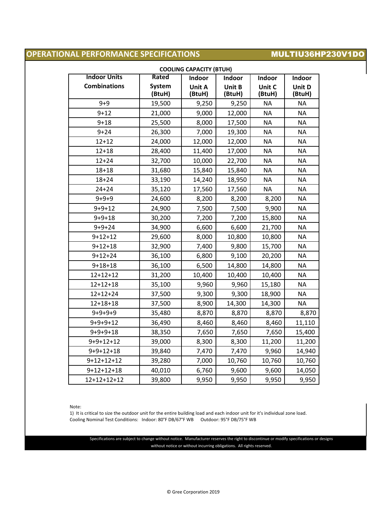## **OPERATIONAL PERFORMANCE SPECIFICATIONS MULTIU36HP230V1DO**

| <b>Indoor Units</b> | Rated            | Indoor           | Indoor           | Indoor           | Indoor           |
|---------------------|------------------|------------------|------------------|------------------|------------------|
| <b>Combinations</b> | System<br>(BtuH) | Unit A<br>(BtuH) | Unit B<br>(BtuH) | Unit C<br>(BtuH) | Unit D<br>(BtuH) |
| $9 + 9$             | 19,500           | 9,250            | 9,250            | <b>NA</b>        | <b>NA</b>        |
| $9 + 12$            | 21,000           | 9,000            | 12,000           | <b>NA</b>        | <b>NA</b>        |
| $9 + 18$            | 25,500           | 8,000            | 17,500           | <b>NA</b>        | <b>NA</b>        |
| $9 + 24$            | 26,300           | 7,000            | 19,300           | <b>NA</b>        | <b>NA</b>        |
| $12 + 12$           | 24,000           | 12,000           | 12,000           | <b>NA</b>        | <b>NA</b>        |
| $12 + 18$           | 28,400           | 11,400           | 17,000           | <b>NA</b>        | <b>NA</b>        |
| $12 + 24$           | 32,700           | 10,000           | 22,700           | <b>NA</b>        | <b>NA</b>        |
| $18 + 18$           | 31,680           | 15,840           | 15,840           | <b>NA</b>        | <b>NA</b>        |
| $18 + 24$           | 33,190           | 14,240           | 18,950           | <b>NA</b>        | <b>NA</b>        |
| $24 + 24$           | 35,120           | 17,560           | 17,560           | <b>NA</b>        | <b>NA</b>        |
| $9 + 9 + 9$         | 24,600           | 8,200            | 8,200            | 8,200            | <b>NA</b>        |
| $9 + 9 + 12$        | 24,900           | 7,500            | 7,500            | 9,900            | <b>NA</b>        |
| $9 + 9 + 18$        | 30,200           | 7,200            | 7,200            | 15,800           | <b>NA</b>        |
| $9 + 9 + 24$        | 34,900           | 6,600            | 6,600            | 21,700           | <b>NA</b>        |
| $9+12+12$           | 29,600           | 8,000            | 10,800           | 10,800           | <b>NA</b>        |
| $9 + 12 + 18$       | 32,900           | 7,400            | 9,800            | 15,700           | <b>NA</b>        |
| $9 + 12 + 24$       | 36,100           | 6,800            | 9,100            | 20,200           | <b>NA</b>        |
| $9 + 18 + 18$       | 36,100           | 6,500            | 14,800           | 14,800           | <b>NA</b>        |
| $12 + 12 + 12$      | 31,200           | 10,400           | 10,400           | 10,400           | <b>NA</b>        |
| $12 + 12 + 18$      | 35,100           | 9,960            | 9,960            | 15,180           | <b>NA</b>        |
| $12 + 12 + 24$      | 37,500           | 9,300            | 9,300            | 18,900           | <b>NA</b>        |
| $12 + 18 + 18$      | 37,500           | 8,900            | 14,300           | 14,300           | <b>NA</b>        |
| $9+9+9+9$           | 35,480           | 8,870            | 8,870            | 8,870            | 8,870            |
| $9+9+9+12$          | 36,490           | 8,460            | 8,460            | 8,460            | 11,110           |
| $9+9+9+18$          | 38,350           | 7,650            | 7,650            | 7,650            | 15,400           |
| $9+9+12+12$         | 39,000           | 8,300            | 8,300            | 11,200           | 11,200           |
| $9+9+12+18$         | 39,840           | 7,470            | 7,470            | 9,960            | 14,940           |
| $9+12+12+12$        | 39,280           | 7,000            | 10,760           | 10,760           | 10,760           |
| $9+12+12+18$        | 40,010           | 6,760            | 9,600            | 9,600            | 14,050           |
| 12+12+12+12         | 39,800           | 9,950            | 9,950            | 9,950            | 9,950            |

Note:

1) It is critical to size the outdoor unit for the entire building load and each indoor unit for it's individual zone load. Cooling Nominal Test Conditions: Indoor: 80°F DB/67°F WB Outdoor: 95°F DB/75°F WB

Specifications are subject to change without notice. Manufacturer reserves the right to discontinue or modify specifications or designs without notice or without incurring obligations. All rights reserved.